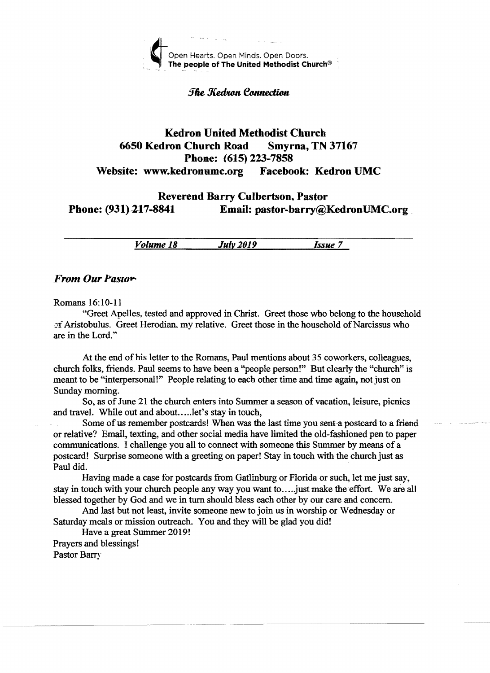

The Kedron Connection

# Kedron United Methodist Church 6650 Kedron Church Road Smyrna, TN 37167 Phone: (615) 223-7858 Website: www.kedronumc.org Facebook: Kedron UMC

## Reverend Barry Culbertson, Pastor Phone: (931}2-17-8841 Email: pastor-barry@KedronUMC.org

*Volume 18 July 2019 Issue 7* 

#### From Our Pastor-

Romans 16:10-11

"Greet Apelles, tested and approved in Christ. Greet those who belong to the household of Aristobulus. Greet Herodian, my relative. Greet those in the household of Narcissus who are in the Lord."

At the end of his letter to the Romans, Paul mentions about 35 coworkers, colleagues, church folks, friends. Paul seems to have been a "people person!" But clearly the "church" is meant to be "interpersonal!" People relating to each other time and time again, not just on Sunday morning.

So, as of June 21 the church enters into Summer a season of vacation, leisure, picnics and travel. While out and about.....let's stay in touch,

Some of us remember postcards! When was the last time you sent-a postcard to a friend or relative? Email, texting, and other social media have limited the old-fashioned pen to paper communications. I challenge you all to connect with someone this Summer by means of a postcard! Surprise someone with a greeting on paper! Stay in touch with the church just as Paul did.

Having made a case for postcards from Gatlinburg or Florida or such, let me just say, stay in touch with your church people any way you want to ..... just make the effort. We are all blessed together by God and we in tum should bless each other by our care and concern.

And last but not least, invite someone new to join us in worship or Wednesday or Saturday meals or mission outreach. You and they will be glad you did!

Have a great Summer 2019! Prayers and blessings!

Pastor Barry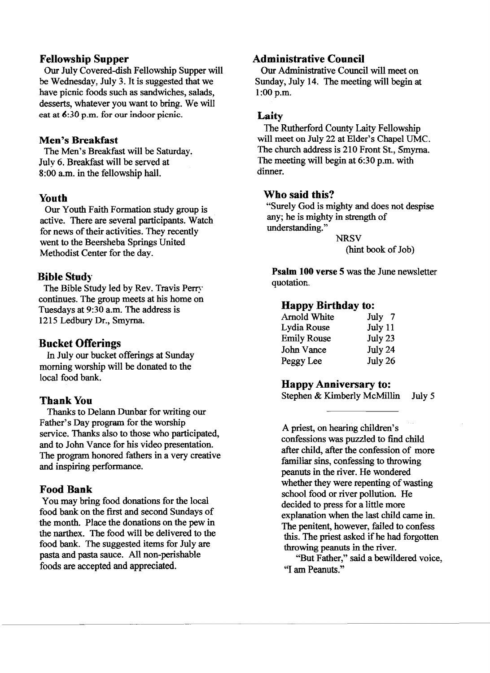## Fellowship Supper

Our Julv Covered-dish Fellowship Supper will be Wednesday, July 3. It is suggested that we have picnic foods such as sandwiches, salads, desserts, whatever you want to bring. We will eat at  $6:30$  p.m. for our indoor picnic.

#### Men's Breakfast

The Men's Breakfast will be Saturday. Julv 6. Breakfast will be served at 8:00 a.m. in the fellowship hall.

## Youth

Our Youth Faith Formation study group is active. There are several participants. Watch for news of their activities. They recently went to the Beersheba Springs United Methodist Center for the day.

## Bible Study

The Bible Study led by Rev. Travis Perry continues. The group meets at his home on Tuesdays at 9:30 a.m. The address is 1215 Ledbury Dr., Smyrna

## Bucket Offerings

In July our bucket offerings at Sunday morning worship will be donated to the local food bank.

## Thank You

Thanks to Delann Dunbar for writing our Father's Day program for the worship service. Thanks also to those who participated, and to John Vance for his video presentation. The program honored fathers in a very creative and inspiring performance.

#### Food Bank

You may bring food donations for the local food bank on the first and second Sundays of the month. Place the donations on the pew in the narthex. The food will be delivered to the food bank. The suggested items for July are pasta and pasta sauce. All non-perishable foods are accepted and appreciated.

## Administrative Council

Our Administrative Council will meet on Sunday, July 14. The meeting will begin at 1:00 p.m.

#### Laity

The Rutherford County Laity Fellowship will meet on July 22 at Elder's Chapel UMC. The church address is 210 Front St., Smyrna. The meeting will begin at 6:30 p.m. with dinner.

#### Who said this?

"Surely God is mighty and does not despise any; he is mighty in strength of understanding."

**NRSV** (hint book of Job)

Psalm 100 verse 5 was the June newsletter quotation.

#### Happy Birthday to:

| Arnold White       | July 7  |
|--------------------|---------|
| Lydia Rouse        | July 11 |
| <b>Emily Rouse</b> | July 23 |
| John Vance         | July 24 |
| Peggy Lee          | July 26 |

#### Happy Anniversary to:

Stephen & Kimberly McMillin July 5

A priest, on hearing children's confessions was puzzled to find child after child, after the confession of more familiar sins, confessing to throwing peanuts in the river. He wondered whether they were repenting of wasting school food or river pollution. He decided to press for a little more explanation when the last child came in. The penitent, however, failed to confess this. The priest asked ifhe had forgotten throwing peanuts in the river.

"But Father," said a bewildered voice, ''I am Peanuts."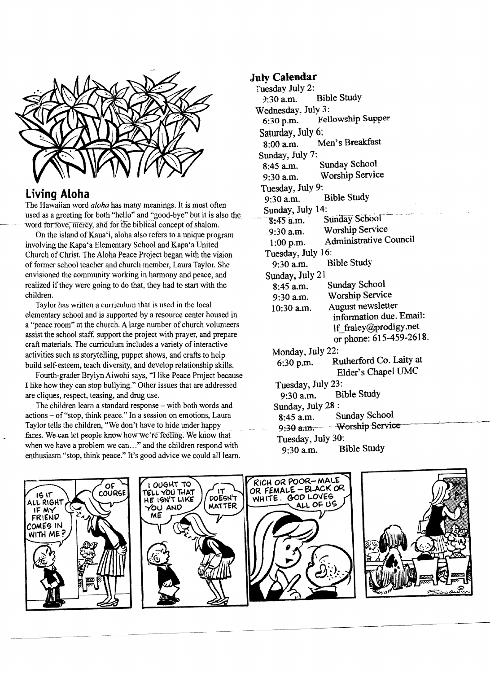

# **Living Aloha**

The Hawaiian word *aloha* has many meanings. It is most often used as a greeting for both "hello" and "good-bye" but it is also the word for love, mercy, and for the biblical concept of shalom.

On the island of Kaua'i, aloha also refers to a unique program involving the Kapa'a Elementary School and Kapa'a United Church of Christ. The Aloha Peace Project began with the vision of former school teacher and church member, Laura Taylor. She envisioned the community working in harmony and peace, and realized if they were going to do that, they had to start with the children.

Taylor has written a curriculum that is used in the local elementary school and is supported by a resource center housed in a "peace room" at the church. A large number of church volunteers assist the school staff, support the project with prayer, and prepare craft materials. The curriculum includes a variety of interactive activities such as storytelling, puppet shows, and crafts to help build self-esteem, teach diversity, and develop relationship skills.

Fourth-grader Brylyn Aiwohi says, "I like Peace Project because I like how they can stop bullying." Other issues that are addressed are cliques, respect, teasing, and drug use.

The children learn a standard response - with both words and actions - of "stop, think peace." In a session on emotions, Laura Taylor tells the children, "We don't have to hide under happy faces. We can let people know how we're feeling. We know that when we have a problem we can... " and the children respond with enthusiasm "stop, think peace." It's good advice we could all learn.

## **Julv Calendar**

Tuesday July 2:<br>9:30 a.m. Bible Study Wednesday. July 3: 6:30 p.m. Fellowship Supper Saturday, July 6: 8:00 a.m. Men's Breakfast Sunday, July 7: 8:45 a.m. Sunday School 9:30 a.m. Worship Service Tuesday, July 9: 9:30 a.m. Bible Study Sunday, July 14:<br> $\frac{8:45 \text{ a.m.}}{2}$ Sunday School 9:30 a.m. Worship Service 1 :00 p.m. Administrative Council Tuesday, July 16: 9:30 a.m. Bible Study Sunday, July 21 8:45 a.m. Sunday School 9:30 a.m. Worship Service  $10:30$  a.m. August newsletter information due. Email: If fraley@prodigy.net or phone: 615-459-2618. Mondav. July 22: 6:30 p.m. Rutherford Co. Laity at Elder's Chapel UMC Tuesday, July 23: 9:30 a.m. Bible Study Sunday, July 28 : 8:45 a.m. Sunday School 9:30 a.m. Worship Service Tuesday, July 30: 9:30 a.m. Bible Study